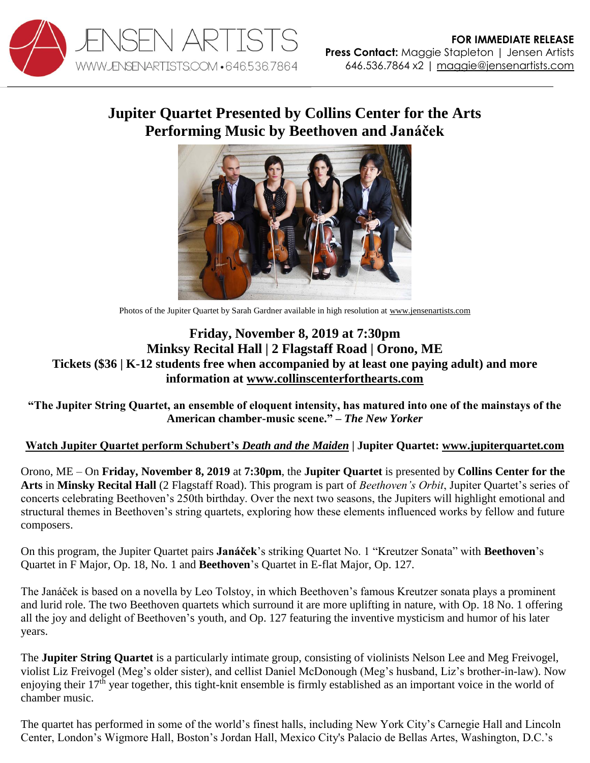

## **Jupiter Quartet Presented by Collins Center for the Arts Performing Music by Beethoven and Janáček**



Photos of the Jupiter Quartet by Sarah Gardner available in high resolution at [www.jensenartists.com](http://www.jensenartists.com/)

## **Friday, November 8, 2019 at 7:30pm Minksy Recital Hall | 2 Flagstaff Road | Orono, ME Tickets (\$36 | K-12 students free when accompanied by at least one paying adult) and more information at [www.collinscenterforthearts.com](http://www.collinscenterforthearts.com/)**

**"The Jupiter String Quartet, an ensemble of eloquent intensity, has matured into one of the mainstays of the American chamber-music scene." –** *The New Yorker*

## **[Watch Jupiter Quartet perform Schubert's](https://vimeo.com/115453429)** *Death and the Maiden* **| Jupiter Quartet: [www.jupiterquartet.com](http://www.jupiterquartet.com/)**

Orono, ME – On **Friday, November 8, 2019** at **7:30pm**, the **Jupiter Quartet** is presented by **Collins Center for the Arts** in **Minsky Recital Hall** (2 Flagstaff Road). This program is part of *Beethoven's Orbit*, Jupiter Quartet's series of concerts celebrating Beethoven's 250th birthday. Over the next two seasons, the Jupiters will highlight emotional and structural themes in Beethoven's string quartets, exploring how these elements influenced works by fellow and future composers.

On this program, the Jupiter Quartet pairs **Janáček**'s striking Quartet No. 1 "Kreutzer Sonata" with **Beethoven**'s Quartet in F Major, Op. 18, No. 1 and **Beethoven**'s Quartet in E-flat Major, Op. 127.

The Janáček is based on a novella by Leo Tolstoy, in which Beethoven's famous Kreutzer sonata plays a prominent and lurid role. The two Beethoven quartets which surround it are more uplifting in nature, with Op. 18 No. 1 offering all the joy and delight of Beethoven's youth, and Op. 127 featuring the inventive mysticism and humor of his later years.

The **Jupiter String Quartet** is a particularly intimate group, consisting of violinists Nelson Lee and Meg Freivogel, violist Liz Freivogel (Meg's older sister), and cellist Daniel McDonough (Meg's husband, Liz's brother-in-law). Now enjoying their 17<sup>th</sup> year together, this tight-knit ensemble is firmly established as an important voice in the world of chamber music.

The quartet has performed in some of the world's finest halls, including New York City's Carnegie Hall and Lincoln Center, London's Wigmore Hall, Boston's Jordan Hall, Mexico City's Palacio de Bellas Artes, Washington, D.C.'s